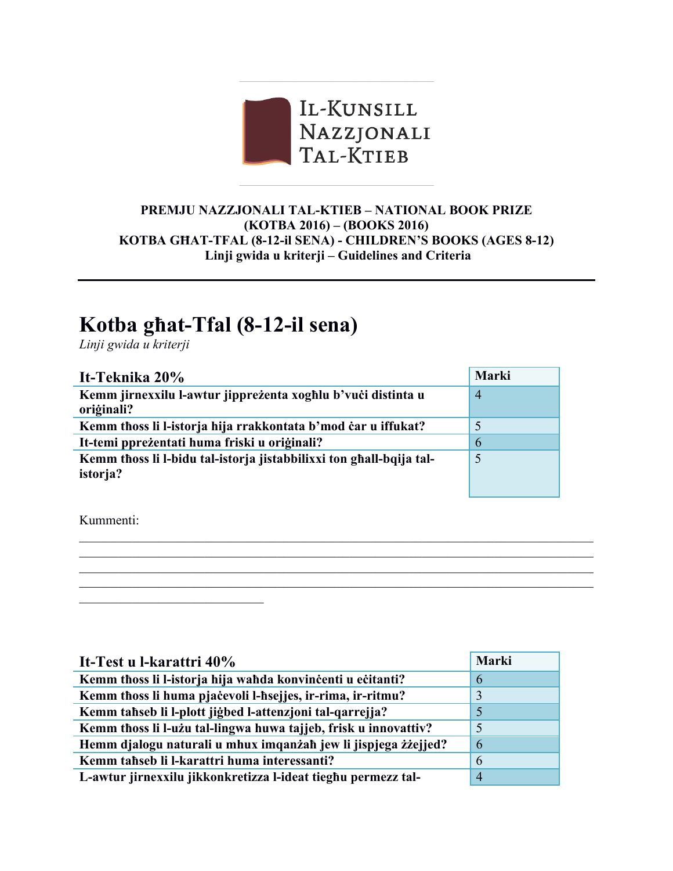

## **PREMJU NAZZJONALI TAL-KTIEB – NATIONAL BOOK PRIZE (KOTBA 2016) – (BOOKS 2016) KOTBA GĦAT-TFAL (8-12-il SENA) - CHILDREN'S BOOKS (AGES 8-12) Linji gwida u kriterji – Guidelines and Criteria**

## **Kotba għat-Tfal (8-12-il sena)**

*Linji gwida u kriterji*

| It-Teknika 20%                                                      | <b>Marki</b> |
|---------------------------------------------------------------------|--------------|
| Kemm jirnexxilu l-awtur jippreżenta xoghlu b'vući distinta u        | 4            |
| oriģinali?                                                          |              |
| Kemm thoss li l-istorja hija rrakkontata b'mod čar u iffukat?       |              |
| It-temi pprežentati huma friski u originali?                        | 6            |
| Kemm thoss li l-bidu tal-istorja jistabbilixxi ton ghall-bqija tal- | 5            |
| istorja?                                                            |              |
|                                                                     |              |

 $\_$  , and the contribution of the contribution of the contribution of the contribution of  $\mathcal{L}_\text{max}$  $\mathcal{L}_\mathcal{L} = \{ \mathcal{L}_\mathcal{L} = \{ \mathcal{L}_\mathcal{L} = \{ \mathcal{L}_\mathcal{L} = \{ \mathcal{L}_\mathcal{L} = \{ \mathcal{L}_\mathcal{L} = \{ \mathcal{L}_\mathcal{L} = \{ \mathcal{L}_\mathcal{L} = \{ \mathcal{L}_\mathcal{L} = \{ \mathcal{L}_\mathcal{L} = \{ \mathcal{L}_\mathcal{L} = \{ \mathcal{L}_\mathcal{L} = \{ \mathcal{L}_\mathcal{L} = \{ \mathcal{L}_\mathcal{L} = \{ \mathcal{L}_\mathcal{$  $\mathcal{L}_\mathcal{L} = \{ \mathcal{L}_\mathcal{L} = \{ \mathcal{L}_\mathcal{L} = \{ \mathcal{L}_\mathcal{L} = \{ \mathcal{L}_\mathcal{L} = \{ \mathcal{L}_\mathcal{L} = \{ \mathcal{L}_\mathcal{L} = \{ \mathcal{L}_\mathcal{L} = \{ \mathcal{L}_\mathcal{L} = \{ \mathcal{L}_\mathcal{L} = \{ \mathcal{L}_\mathcal{L} = \{ \mathcal{L}_\mathcal{L} = \{ \mathcal{L}_\mathcal{L} = \{ \mathcal{L}_\mathcal{L} = \{ \mathcal{L}_\mathcal{$  $\_$  , and the contribution of the contribution of the contribution of the contribution of  $\mathcal{L}_\text{max}$ 

Kummenti:

 $\mathcal{L}_\text{max}$  , where  $\mathcal{L}_\text{max}$  , we have the set of  $\mathcal{L}_\text{max}$ 

| It-Test u l-karattri 40%                                        | <b>Marki</b>   |
|-----------------------------------------------------------------|----------------|
| Kemm thoss li l-istorja hija wahda konvincenti u ecitanti?      | 6              |
| Kemm thoss li huma pjačevoli l-hsejjes, ir-rima, ir-ritmu?      | 3              |
| Kemm tahseb li l-plott jigbed l-attenzjoni tal-qarrejja?        |                |
| Kemm thoss li l-użu tal-lingwa huwa tajjeb, frisk u innovattiv? | 5              |
| Hemm djalogu naturali u mhux imqanżah jew li jispjega żżejjed?  | -6             |
| Kemm tahseb li l-karattri huma interessanti?                    | 6              |
| L-awtur jirnexxilu jikkonkretizza l-ideat tieghu permezz tal-   | $\overline{4}$ |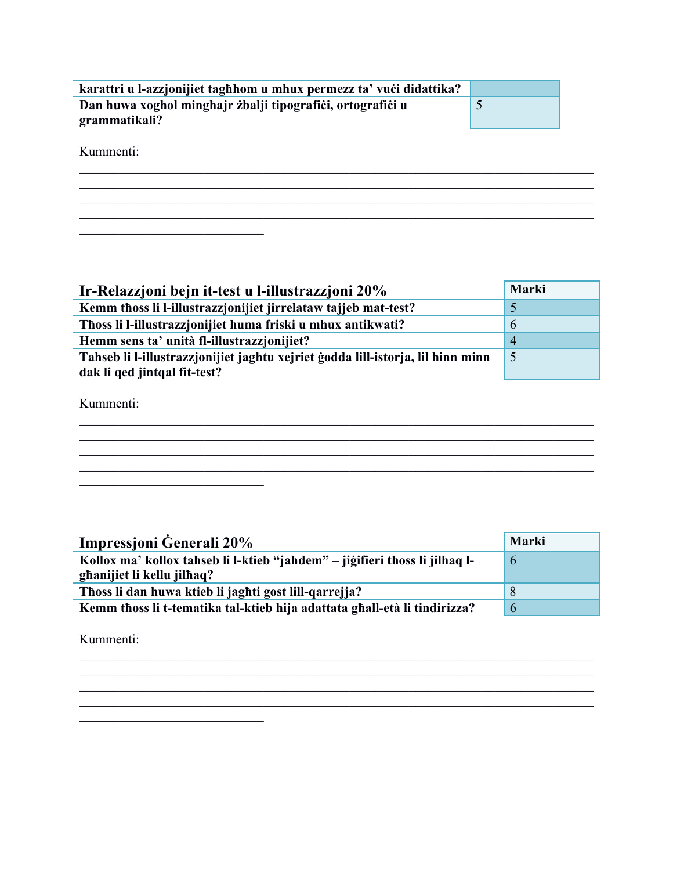| karattri u l-azzjonijiet taghhom u mhux permezz ta' vući didattika?         |  |
|-----------------------------------------------------------------------------|--|
| Dan huwa xoghol minghajr zbalji tipografići, ortografići u<br>grammatikali? |  |

Kummenti:

<u> 1989 - Johann Barbara, martxa amerikan p</u>

<u> 1980 - Jan Barbara Barat, prima politik (</u>

| Ir-Relazzjoni bejn it-test u l-illustrazzjoni 20%                               | Marki          |
|---------------------------------------------------------------------------------|----------------|
| Kemm thoss li l-illustrazzjonijiet jirrelataw tajjeb mat-test?                  |                |
| Thoss li l-illustrazzjonijiet huma friski u mhux antikwati?                     | 6              |
| Hemm sens ta' unità fl-illustrazzionijiet?                                      | $\overline{4}$ |
| Tahseb li l-illustrazzjonijiet jaghtu xejriet godda lill-istorja, lil hinn minn | 5              |
| dak li qed jintqal fit-test?                                                    |                |

Kummenti:

| Impressioni Generali 20%                                                                                  | Marki         |
|-----------------------------------------------------------------------------------------------------------|---------------|
| Kollox ma' kollox tahseb li l-ktieb "jahdem" – jiğifieri thoss li jilhaq l-<br>ghanijiet li kellu jilhaq? | $\mathfrak b$ |
| Thoss li dan huwa ktieb li jaghti gost lill-qarrejja?                                                     |               |
| Kemm thoss li t-tematika tal-ktieb hija adattata ghall-età li tindirizza?                                 | 6             |

Kummenti: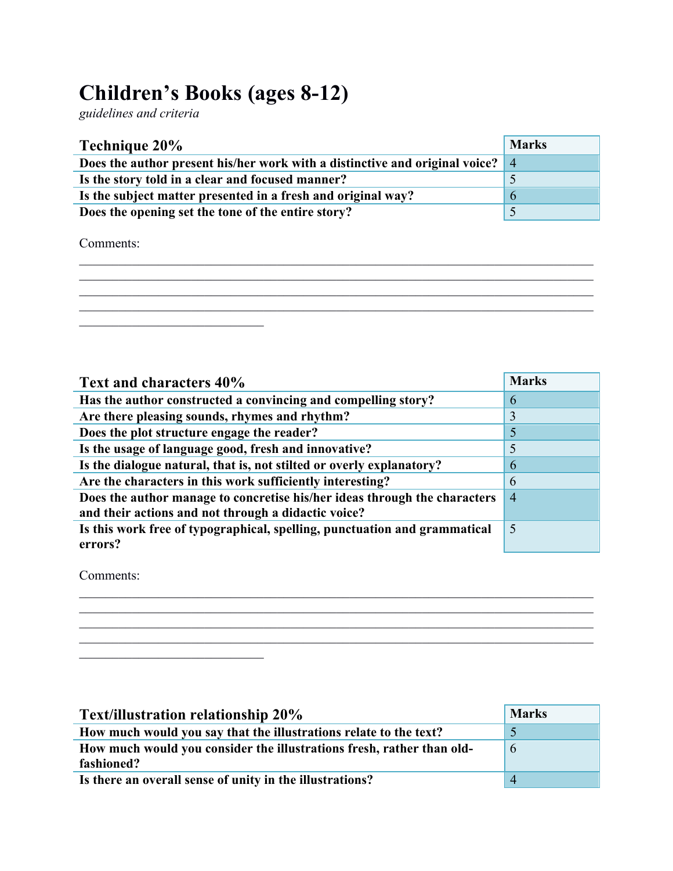## **Children's Books (ages 8-12)**

*guidelines and criteria*

| Technique 20%                                                                 | <b>Marks</b> |
|-------------------------------------------------------------------------------|--------------|
| Does the author present his/her work with a distinctive and original voice? 4 |              |
| Is the story told in a clear and focused manner?                              |              |
| Is the subject matter presented in a fresh and original way?                  | O            |
| Does the opening set the tone of the entire story?                            |              |
|                                                                               |              |

Comments:

 $\mathcal{L}_\mathcal{L} = \{ \mathcal{L}_\mathcal{L} = \{ \mathcal{L}_\mathcal{L} = \{ \mathcal{L}_\mathcal{L} = \{ \mathcal{L}_\mathcal{L} = \{ \mathcal{L}_\mathcal{L} = \{ \mathcal{L}_\mathcal{L} = \{ \mathcal{L}_\mathcal{L} = \{ \mathcal{L}_\mathcal{L} = \{ \mathcal{L}_\mathcal{L} = \{ \mathcal{L}_\mathcal{L} = \{ \mathcal{L}_\mathcal{L} = \{ \mathcal{L}_\mathcal{L} = \{ \mathcal{L}_\mathcal{L} = \{ \mathcal{L}_\mathcal{$ 

| Text and characters 40%                                                   | <b>Marks</b>   |
|---------------------------------------------------------------------------|----------------|
| Has the author constructed a convincing and compelling story?             | 6              |
| Are there pleasing sounds, rhymes and rhythm?                             | 3              |
| Does the plot structure engage the reader?                                | 5              |
| Is the usage of language good, fresh and innovative?                      | 5              |
| Is the dialogue natural, that is, not stilted or overly explanatory?      | 6              |
| Are the characters in this work sufficiently interesting?                 | 6              |
| Does the author manage to concretise his/her ideas through the characters | $\overline{4}$ |
| and their actions and not through a didactic voice?                       |                |
| Is this work free of typographical, spelling, punctuation and grammatical | 5              |
| errors?                                                                   |                |

 $\_$  , and the contribution of the contribution of the contribution of the contribution of  $\mathcal{L}_\text{max}$  $\_$  , and the contribution of the contribution of the contribution of the contribution of  $\mathcal{L}_\text{max}$  $\_$  , and the contribution of the contribution of the contribution of the contribution of  $\mathcal{L}_\text{max}$ 

Comments:

\_\_\_\_\_\_\_\_\_\_\_\_\_\_\_\_\_\_\_\_\_\_\_\_\_\_\_\_\_\_\_\_\_\_\_\_\_\_\_\_\_\_\_\_\_\_\_\_\_\_\_\_\_\_\_\_\_\_\_\_\_\_\_\_\_\_\_\_\_\_\_\_\_\_\_\_\_\_  $\frac{1}{2}$  ,  $\frac{1}{2}$  ,  $\frac{1}{2}$  ,  $\frac{1}{2}$  ,  $\frac{1}{2}$  ,  $\frac{1}{2}$  ,  $\frac{1}{2}$  ,  $\frac{1}{2}$  ,  $\frac{1}{2}$  ,  $\frac{1}{2}$  ,  $\frac{1}{2}$  ,  $\frac{1}{2}$  ,  $\frac{1}{2}$  ,  $\frac{1}{2}$  ,  $\frac{1}{2}$  ,  $\frac{1}{2}$  ,  $\frac{1}{2}$  ,  $\frac{1}{2}$  ,  $\frac{1$ 

| <b>Text/illustration relationship 20%</b>                             | <b>Marks</b>  |
|-----------------------------------------------------------------------|---------------|
| How much would you say that the illustrations relate to the text?     | $\mathcal{D}$ |
| How much would you consider the illustrations fresh, rather than old- | $\mathfrak b$ |
| fashioned?                                                            |               |
| Is there an overall sense of unity in the illustrations?              |               |